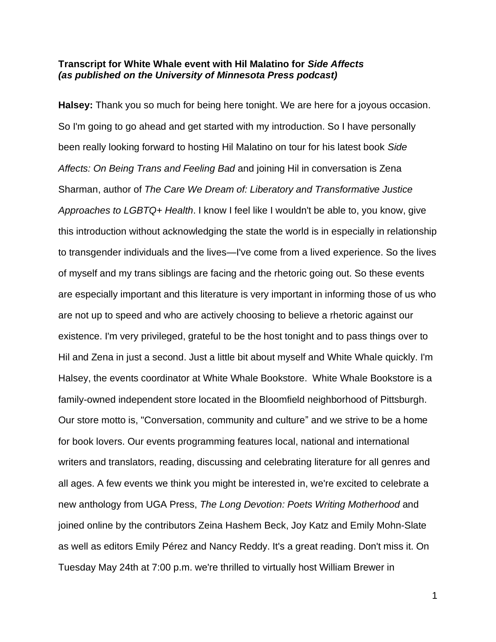## **Transcript for White Whale event with Hil Malatino for** *Side Affects (as published on the University of Minnesota Press podcast)*

**Halsey:** Thank you so much for being here tonight. We are here for a joyous occasion. So I'm going to go ahead and get started with my introduction. So I have personally been really looking forward to hosting Hil Malatino on tour for his latest book *Side Affects: On Being Trans and Feeling Bad* and joining Hil in conversation is Zena Sharman, author of *The Care We Dream of: Liberatory and Transformative Justice Approaches to LGBTQ+ Health*. I know I feel like I wouldn't be able to, you know, give this introduction without acknowledging the state the world is in especially in relationship to transgender individuals and the lives—I've come from a lived experience. So the lives of myself and my trans siblings are facing and the rhetoric going out. So these events are especially important and this literature is very important in informing those of us who are not up to speed and who are actively choosing to believe a rhetoric against our existence. I'm very privileged, grateful to be the host tonight and to pass things over to Hil and Zena in just a second. Just a little bit about myself and White Whale quickly. I'm Halsey, the events coordinator at White Whale Bookstore. White Whale Bookstore is a family-owned independent store located in the Bloomfield neighborhood of Pittsburgh. Our store motto is, "Conversation, community and culture" and we strive to be a home for book lovers. Our events programming features local, national and international writers and translators, reading, discussing and celebrating literature for all genres and all ages. A few events we think you might be interested in, we're excited to celebrate a new anthology from UGA Press, *The Long Devotion: Poets Writing Motherhood* and joined online by the contributors Zeina Hashem Beck, Joy Katz and Emily Mohn-Slate as well as editors Emily Pérez and Nancy Reddy. It's a great reading. Don't miss it. On Tuesday May 24th at 7:00 p.m. we're thrilled to virtually host William Brewer in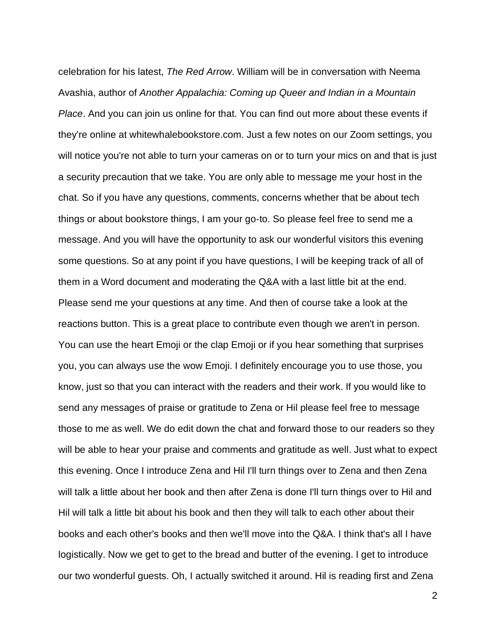celebration for his latest, *The Red Arrow*. William will be in conversation with Neema Avashia, author of *Another Appalachia: Coming up Queer and Indian in a Mountain Place*. And you can join us online for that. You can find out more about these events if they're online at whitewhalebookstore.com. Just a few notes on our Zoom settings, you will notice you're not able to turn your cameras on or to turn your mics on and that is just a security precaution that we take. You are only able to message me your host in the chat. So if you have any questions, comments, concerns whether that be about tech things or about bookstore things, I am your go‑to. So please feel free to send me a message. And you will have the opportunity to ask our wonderful visitors this evening some questions. So at any point if you have questions, I will be keeping track of all of them in a Word document and moderating the Q&A with a last little bit at the end. Please send me your questions at any time. And then of course take a look at the reactions button. This is a great place to contribute even though we aren't in person. You can use the heart Emoji or the clap Emoji or if you hear something that surprises you, you can always use the wow Emoji. I definitely encourage you to use those, you know, just so that you can interact with the readers and their work. If you would like to send any messages of praise or gratitude to Zena or Hil please feel free to message those to me as well. We do edit down the chat and forward those to our readers so they will be able to hear your praise and comments and gratitude as well. Just what to expect this evening. Once I introduce Zena and Hil I'll turn things over to Zena and then Zena will talk a little about her book and then after Zena is done I'll turn things over to Hil and Hil will talk a little bit about his book and then they will talk to each other about their books and each other's books and then we'll move into the Q&A. I think that's all I have logistically. Now we get to get to the bread and butter of the evening. I get to introduce our two wonderful guests. Oh, I actually switched it around. Hil is reading first and Zena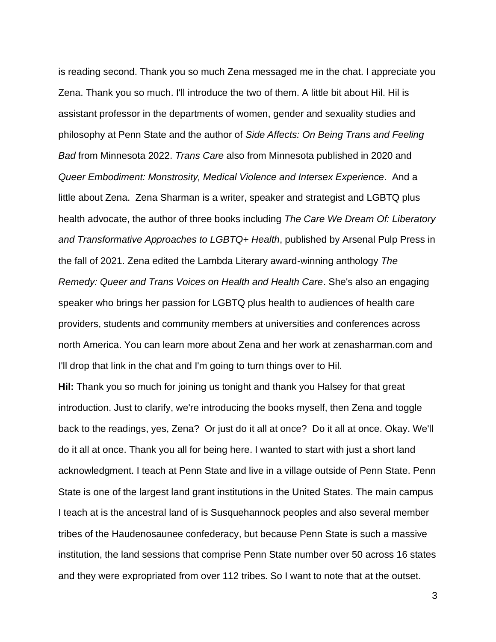is reading second. Thank you so much Zena messaged me in the chat. I appreciate you Zena. Thank you so much. I'll introduce the two of them. A little bit about Hil. Hil is assistant professor in the departments of women, gender and sexuality studies and philosophy at Penn State and the author of *Side Affects: On Being Trans and Feeling Bad* from Minnesota 2022. *Trans Care* also from Minnesota published in 2020 and *Queer Embodiment: Monstrosity, Medical Violence and Intersex Experience*. And a little about Zena. Zena Sharman is a writer, speaker and strategist and LGBTQ plus health advocate, the author of three books including *The Care We Dream Of: Liberatory and Transformative Approaches to LGBTQ+ Health*, published by Arsenal Pulp Press in the fall of 2021. Zena edited the Lambda Literary award‑winning anthology *The Remedy: Queer and Trans Voices on Health and Health Care*. She's also an engaging speaker who brings her passion for LGBTQ plus health to audiences of health care providers, students and community members at universities and conferences across north America. You can learn more about Zena and her work at zenasharman.com and I'll drop that link in the chat and I'm going to turn things over to Hil.

**Hil:** Thank you so much for joining us tonight and thank you Halsey for that great introduction. Just to clarify, we're introducing the books myself, then Zena and toggle back to the readings, yes, Zena? Or just do it all at once? Do it all at once. Okay. We'll do it all at once. Thank you all for being here. I wanted to start with just a short land acknowledgment. I teach at Penn State and live in a village outside of Penn State. Penn State is one of the largest land grant institutions in the United States. The main campus I teach at is the ancestral land of is Susquehannock peoples and also several member tribes of the Haudenosaunee confederacy, but because Penn State is such a massive institution, the land sessions that comprise Penn State number over 50 across 16 states and they were expropriated from over 112 tribes. So I want to note that at the outset.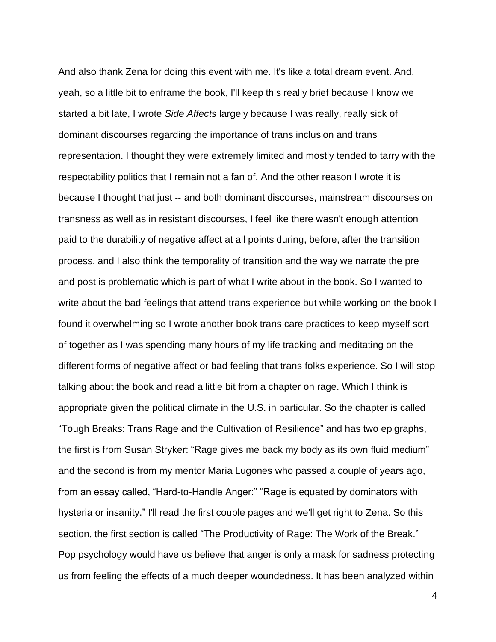And also thank Zena for doing this event with me. It's like a total dream event. And, yeah, so a little bit to enframe the book, I'll keep this really brief because I know we started a bit late, I wrote *Side Affects* largely because I was really, really sick of dominant discourses regarding the importance of trans inclusion and trans representation. I thought they were extremely limited and mostly tended to tarry with the respectability politics that I remain not a fan of. And the other reason I wrote it is because I thought that just -- and both dominant discourses, mainstream discourses on transness as well as in resistant discourses, I feel like there wasn't enough attention paid to the durability of negative affect at all points during, before, after the transition process, and I also think the temporality of transition and the way we narrate the pre and post is problematic which is part of what I write about in the book. So I wanted to write about the bad feelings that attend trans experience but while working on the book I found it overwhelming so I wrote another book trans care practices to keep myself sort of together as I was spending many hours of my life tracking and meditating on the different forms of negative affect or bad feeling that trans folks experience. So I will stop talking about the book and read a little bit from a chapter on rage. Which I think is appropriate given the political climate in the U.S. in particular. So the chapter is called "Tough Breaks: Trans Rage and the Cultivation of Resilience" and has two epigraphs, the first is from Susan Stryker: "Rage gives me back my body as its own fluid medium" and the second is from my mentor Maria Lugones who passed a couple of years ago, from an essay called, "Hard-to-Handle Anger:" "Rage is equated by dominators with hysteria or insanity." I'll read the first couple pages and we'll get right to Zena. So this section, the first section is called "The Productivity of Rage: The Work of the Break." Pop psychology would have us believe that anger is only a mask for sadness protecting us from feeling the effects of a much deeper woundedness. It has been analyzed within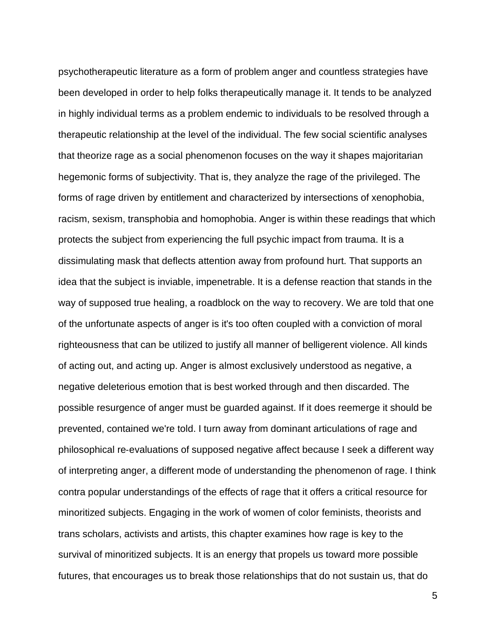psychotherapeutic literature as a form of problem anger and countless strategies have been developed in order to help folks therapeutically manage it. It tends to be analyzed in highly individual terms as a problem endemic to individuals to be resolved through a therapeutic relationship at the level of the individual. The few social scientific analyses that theorize rage as a social phenomenon focuses on the way it shapes majoritarian hegemonic forms of subjectivity. That is, they analyze the rage of the privileged. The forms of rage driven by entitlement and characterized by intersections of xenophobia, racism, sexism, transphobia and homophobia. Anger is within these readings that which protects the subject from experiencing the full psychic impact from trauma. It is a dissimulating mask that deflects attention away from profound hurt. That supports an idea that the subject is inviable, impenetrable. It is a defense reaction that stands in the way of supposed true healing, a roadblock on the way to recovery. We are told that one of the unfortunate aspects of anger is it's too often coupled with a conviction of moral righteousness that can be utilized to justify all manner of belligerent violence. All kinds of acting out, and acting up. Anger is almost exclusively understood as negative, a negative deleterious emotion that is best worked through and then discarded. The possible resurgence of anger must be guarded against. If it does reemerge it should be prevented, contained we're told. I turn away from dominant articulations of rage and philosophical re‑evaluations of supposed negative affect because I seek a different way of interpreting anger, a different mode of understanding the phenomenon of rage. I think contra popular understandings of the effects of rage that it offers a critical resource for minoritized subjects. Engaging in the work of women of color feminists, theorists and trans scholars, activists and artists, this chapter examines how rage is key to the survival of minoritized subjects. It is an energy that propels us toward more possible futures, that encourages us to break those relationships that do not sustain us, that do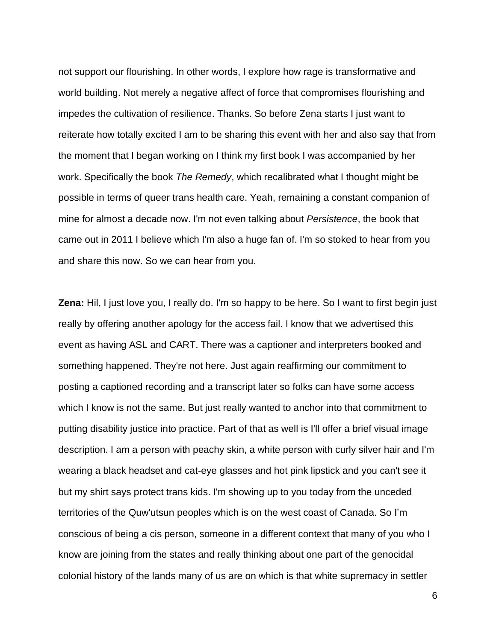not support our flourishing. In other words, I explore how rage is transformative and world building. Not merely a negative affect of force that compromises flourishing and impedes the cultivation of resilience. Thanks. So before Zena starts I just want to reiterate how totally excited I am to be sharing this event with her and also say that from the moment that I began working on I think my first book I was accompanied by her work. Specifically the book *The Remedy*, which recalibrated what I thought might be possible in terms of queer trans health care. Yeah, remaining a constant companion of mine for almost a decade now. I'm not even talking about *Persistence*, the book that came out in 2011 I believe which I'm also a huge fan of. I'm so stoked to hear from you and share this now. So we can hear from you.

**Zena:** Hil, I just love you, I really do. I'm so happy to be here. So I want to first begin just really by offering another apology for the access fail. I know that we advertised this event as having ASL and CART. There was a captioner and interpreters booked and something happened. They're not here. Just again reaffirming our commitment to posting a captioned recording and a transcript later so folks can have some access which I know is not the same. But just really wanted to anchor into that commitment to putting disability justice into practice. Part of that as well is I'll offer a brief visual image description. I am a person with peachy skin, a white person with curly silver hair and I'm wearing a black headset and cat-eye glasses and hot pink lipstick and you can't see it but my shirt says protect trans kids. I'm showing up to you today from the unceded territories of the Quw'utsun peoples which is on the west coast of Canada. So I'm conscious of being a cis person, someone in a different context that many of you who I know are joining from the states and really thinking about one part of the genocidal colonial history of the lands many of us are on which is that white supremacy in settler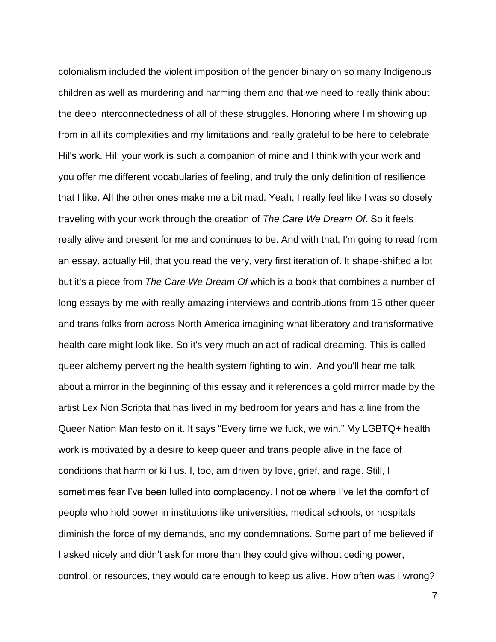colonialism included the violent imposition of the gender binary on so many Indigenous children as well as murdering and harming them and that we need to really think about the deep interconnectedness of all of these struggles. Honoring where I'm showing up from in all its complexities and my limitations and really grateful to be here to celebrate Hil's work. Hil, your work is such a companion of mine and I think with your work and you offer me different vocabularies of feeling, and truly the only definition of resilience that I like. All the other ones make me a bit mad. Yeah, I really feel like I was so closely traveling with your work through the creation of *The Care We Dream Of*. So it feels really alive and present for me and continues to be. And with that, I'm going to read from an essay, actually Hil, that you read the very, very first iteration of. It shape-shifted a lot but it's a piece from *The Care We Dream Of* which is a book that combines a number of long essays by me with really amazing interviews and contributions from 15 other queer and trans folks from across North America imagining what liberatory and transformative health care might look like. So it's very much an act of radical dreaming. This is called queer alchemy perverting the health system fighting to win. And you'll hear me talk about a mirror in the beginning of this essay and it references a gold mirror made by the artist Lex Non Scripta that has lived in my bedroom for years and has a line from the Queer Nation Manifesto on it. It says "Every time we fuck, we win." My LGBTQ+ health work is motivated by a desire to keep queer and trans people alive in the face of conditions that harm or kill us. I, too, am driven by love, grief, and rage. Still, I sometimes fear I've been lulled into complacency. I notice where I've let the comfort of people who hold power in institutions like universities, medical schools, or hospitals diminish the force of my demands, and my condemnations. Some part of me believed if I asked nicely and didn't ask for more than they could give without ceding power, control, or resources, they would care enough to keep us alive. How often was I wrong?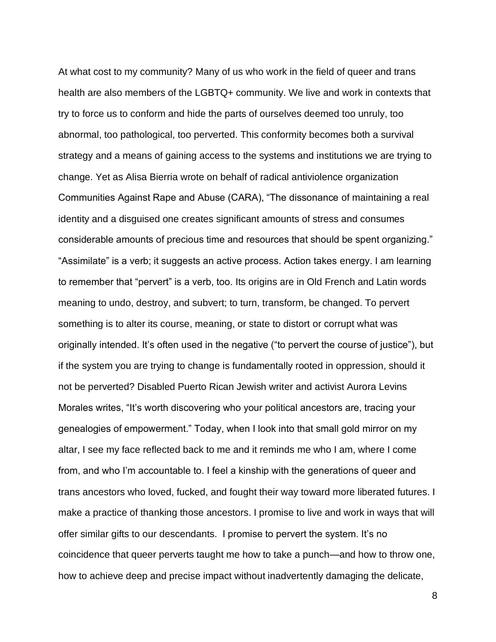At what cost to my community? Many of us who work in the field of queer and trans health are also members of the LGBTQ+ community. We live and work in contexts that try to force us to conform and hide the parts of ourselves deemed too unruly, too abnormal, too pathological, too perverted. This conformity becomes both a survival strategy and a means of gaining access to the systems and institutions we are trying to change. Yet as Alisa Bierria wrote on behalf of radical antiviolence organization Communities Against Rape and Abuse (CARA), "The dissonance of maintaining a real identity and a disguised one creates significant amounts of stress and consumes considerable amounts of precious time and resources that should be spent organizing." "Assimilate" is a verb; it suggests an active process. Action takes energy. I am learning to remember that "pervert" is a verb, too. Its origins are in Old French and Latin words meaning to undo, destroy, and subvert; to turn, transform, be changed. To pervert something is to alter its course, meaning, or state to distort or corrupt what was originally intended. It's often used in the negative ("to pervert the course of justice"), but if the system you are trying to change is fundamentally rooted in oppression, should it not be perverted? Disabled Puerto Rican Jewish writer and activist Aurora Levins Morales writes, "It's worth discovering who your political ancestors are, tracing your genealogies of empowerment." Today, when I look into that small gold mirror on my altar, I see my face reflected back to me and it reminds me who I am, where I come from, and who I'm accountable to. I feel a kinship with the generations of queer and trans ancestors who loved, fucked, and fought their way toward more liberated futures. I make a practice of thanking those ancestors. I promise to live and work in ways that will offer similar gifts to our descendants. I promise to pervert the system. It's no coincidence that queer perverts taught me how to take a punch—and how to throw one, how to achieve deep and precise impact without inadvertently damaging the delicate,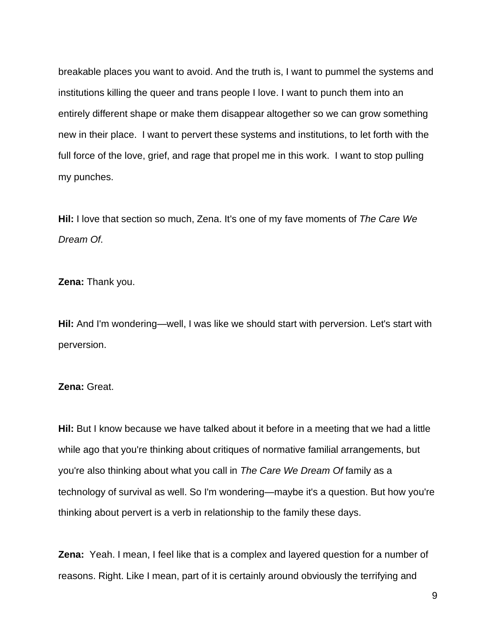breakable places you want to avoid. And the truth is, I want to pummel the systems and institutions killing the queer and trans people I love. I want to punch them into an entirely different shape or make them disappear altogether so we can grow something new in their place. I want to pervert these systems and institutions, to let forth with the full force of the love, grief, and rage that propel me in this work. I want to stop pulling my punches.

**Hil:** I love that section so much, Zena. It's one of my fave moments of *The Care We Dream Of*.

**Zena:** Thank you.

**Hil:** And I'm wondering—well, I was like we should start with perversion. Let's start with perversion.

## **Zena:** Great.

**Hil:** But I know because we have talked about it before in a meeting that we had a little while ago that you're thinking about critiques of normative familial arrangements, but you're also thinking about what you call in *The Care We Dream Of* family as a technology of survival as well. So I'm wondering—maybe it's a question. But how you're thinking about pervert is a verb in relationship to the family these days.

**Zena:** Yeah. I mean, I feel like that is a complex and layered question for a number of reasons. Right. Like I mean, part of it is certainly around obviously the terrifying and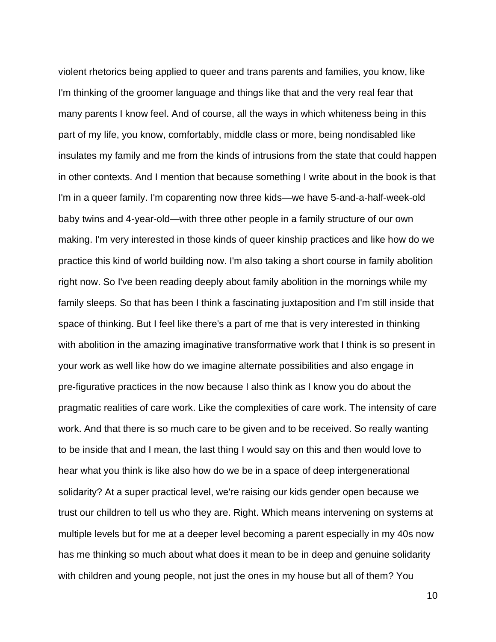violent rhetorics being applied to queer and trans parents and families, you know, like I'm thinking of the groomer language and things like that and the very real fear that many parents I know feel. And of course, all the ways in which whiteness being in this part of my life, you know, comfortably, middle class or more, being nondisabled like insulates my family and me from the kinds of intrusions from the state that could happen in other contexts. And I mention that because something I write about in the book is that I'm in a queer family. I'm coparenting now three kids—we have 5-and-a-half-week-old baby twins and 4-year-old—with three other people in a family structure of our own making. I'm very interested in those kinds of queer kinship practices and like how do we practice this kind of world building now. I'm also taking a short course in family abolition right now. So I've been reading deeply about family abolition in the mornings while my family sleeps. So that has been I think a fascinating juxtaposition and I'm still inside that space of thinking. But I feel like there's a part of me that is very interested in thinking with abolition in the amazing imaginative transformative work that I think is so present in your work as well like how do we imagine alternate possibilities and also engage in pre‑figurative practices in the now because I also think as I know you do about the pragmatic realities of care work. Like the complexities of care work. The intensity of care work. And that there is so much care to be given and to be received. So really wanting to be inside that and I mean, the last thing I would say on this and then would love to hear what you think is like also how do we be in a space of deep intergenerational solidarity? At a super practical level, we're raising our kids gender open because we trust our children to tell us who they are. Right. Which means intervening on systems at multiple levels but for me at a deeper level becoming a parent especially in my 40s now has me thinking so much about what does it mean to be in deep and genuine solidarity with children and young people, not just the ones in my house but all of them? You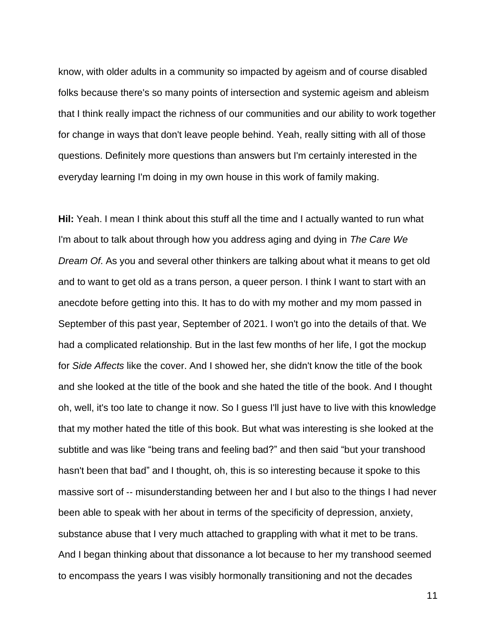know, with older adults in a community so impacted by ageism and of course disabled folks because there's so many points of intersection and systemic ageism and ableism that I think really impact the richness of our communities and our ability to work together for change in ways that don't leave people behind. Yeah, really sitting with all of those questions. Definitely more questions than answers but I'm certainly interested in the everyday learning I'm doing in my own house in this work of family making.

**Hil:** Yeah. I mean I think about this stuff all the time and I actually wanted to run what I'm about to talk about through how you address aging and dying in *The Care We Dream Of*. As you and several other thinkers are talking about what it means to get old and to want to get old as a trans person, a queer person. I think I want to start with an anecdote before getting into this. It has to do with my mother and my mom passed in September of this past year, September of 2021. I won't go into the details of that. We had a complicated relationship. But in the last few months of her life, I got the mockup for *Side Affects* like the cover. And I showed her, she didn't know the title of the book and she looked at the title of the book and she hated the title of the book. And I thought oh, well, it's too late to change it now. So I guess I'll just have to live with this knowledge that my mother hated the title of this book. But what was interesting is she looked at the subtitle and was like "being trans and feeling bad?" and then said "but your transhood hasn't been that bad" and I thought, oh, this is so interesting because it spoke to this massive sort of ‑‑ misunderstanding between her and I but also to the things I had never been able to speak with her about in terms of the specificity of depression, anxiety, substance abuse that I very much attached to grappling with what it met to be trans. And I began thinking about that dissonance a lot because to her my transhood seemed to encompass the years I was visibly hormonally transitioning and not the decades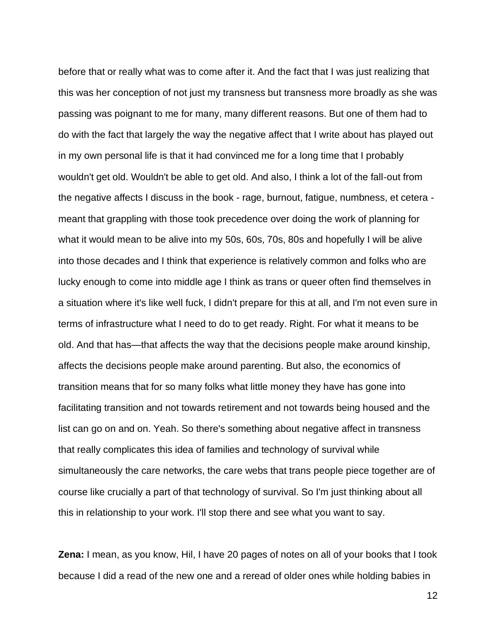before that or really what was to come after it. And the fact that I was just realizing that this was her conception of not just my transness but transness more broadly as she was passing was poignant to me for many, many different reasons. But one of them had to do with the fact that largely the way the negative affect that I write about has played out in my own personal life is that it had convinced me for a long time that I probably wouldn't get old. Wouldn't be able to get old. And also, I think a lot of the fall-out from the negative affects I discuss in the book - rage, burnout, fatigue, numbness, et cetera meant that grappling with those took precedence over doing the work of planning for what it would mean to be alive into my 50s, 60s, 70s, 80s and hopefully I will be alive into those decades and I think that experience is relatively common and folks who are lucky enough to come into middle age I think as trans or queer often find themselves in a situation where it's like well fuck, I didn't prepare for this at all, and I'm not even sure in terms of infrastructure what I need to do to get ready. Right. For what it means to be old. And that has—that affects the way that the decisions people make around kinship, affects the decisions people make around parenting. But also, the economics of transition means that for so many folks what little money they have has gone into facilitating transition and not towards retirement and not towards being housed and the list can go on and on. Yeah. So there's something about negative affect in transness that really complicates this idea of families and technology of survival while simultaneously the care networks, the care webs that trans people piece together are of course like crucially a part of that technology of survival. So I'm just thinking about all this in relationship to your work. I'll stop there and see what you want to say.

**Zena:** I mean, as you know, Hil, I have 20 pages of notes on all of your books that I took because I did a read of the new one and a reread of older ones while holding babies in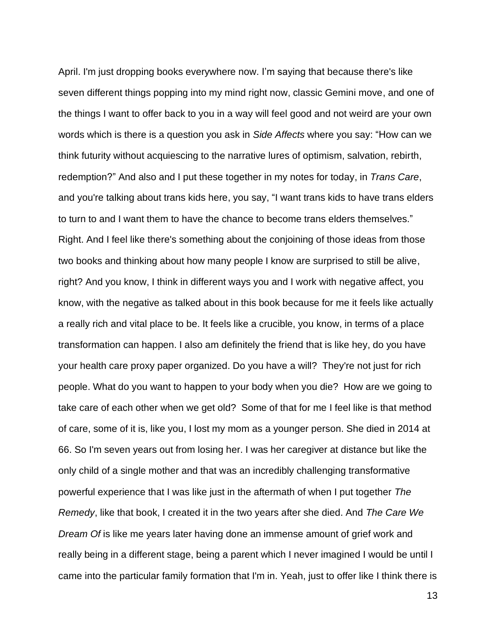April. I'm just dropping books everywhere now. I'm saying that because there's like seven different things popping into my mind right now, classic Gemini move, and one of the things I want to offer back to you in a way will feel good and not weird are your own words which is there is a question you ask in *Side Affects* where you say: "How can we think futurity without acquiescing to the narrative lures of optimism, salvation, rebirth, redemption?" And also and I put these together in my notes for today, in *Trans Care*, and you're talking about trans kids here, you say, "I want trans kids to have trans elders to turn to and I want them to have the chance to become trans elders themselves." Right. And I feel like there's something about the conjoining of those ideas from those two books and thinking about how many people I know are surprised to still be alive, right? And you know, I think in different ways you and I work with negative affect, you know, with the negative as talked about in this book because for me it feels like actually a really rich and vital place to be. It feels like a crucible, you know, in terms of a place transformation can happen. I also am definitely the friend that is like hey, do you have your health care proxy paper organized. Do you have a will? They're not just for rich people. What do you want to happen to your body when you die? How are we going to take care of each other when we get old? Some of that for me I feel like is that method of care, some of it is, like you, I lost my mom as a younger person. She died in 2014 at 66. So I'm seven years out from losing her. I was her caregiver at distance but like the only child of a single mother and that was an incredibly challenging transformative powerful experience that I was like just in the aftermath of when I put together *The Remedy*, like that book, I created it in the two years after she died. And *The Care We Dream Of* is like me years later having done an immense amount of grief work and really being in a different stage, being a parent which I never imagined I would be until I came into the particular family formation that I'm in. Yeah, just to offer like I think there is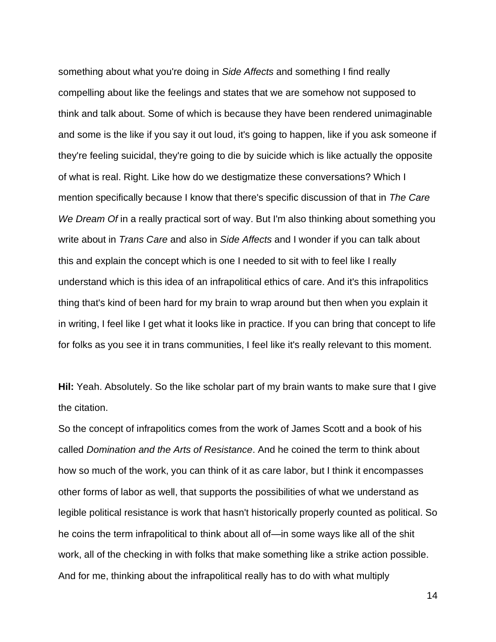something about what you're doing in *Side Affects* and something I find really compelling about like the feelings and states that we are somehow not supposed to think and talk about. Some of which is because they have been rendered unimaginable and some is the like if you say it out loud, it's going to happen, like if you ask someone if they're feeling suicidal, they're going to die by suicide which is like actually the opposite of what is real. Right. Like how do we destigmatize these conversations? Which I mention specifically because I know that there's specific discussion of that in *The Care We Dream Of* in a really practical sort of way. But I'm also thinking about something you write about in *Trans Care* and also in *Side Affects* and I wonder if you can talk about this and explain the concept which is one I needed to sit with to feel like I really understand which is this idea of an infrapolitical ethics of care. And it's this infrapolitics thing that's kind of been hard for my brain to wrap around but then when you explain it in writing, I feel like I get what it looks like in practice. If you can bring that concept to life for folks as you see it in trans communities, I feel like it's really relevant to this moment.

**Hil:** Yeah. Absolutely. So the like scholar part of my brain wants to make sure that I give the citation.

So the concept of infrapolitics comes from the work of James Scott and a book of his called *Domination and the Arts of Resistance*. And he coined the term to think about how so much of the work, you can think of it as care labor, but I think it encompasses other forms of labor as well, that supports the possibilities of what we understand as legible political resistance is work that hasn't historically properly counted as political. So he coins the term infrapolitical to think about all of—in some ways like all of the shit work, all of the checking in with folks that make something like a strike action possible. And for me, thinking about the infrapolitical really has to do with what multiply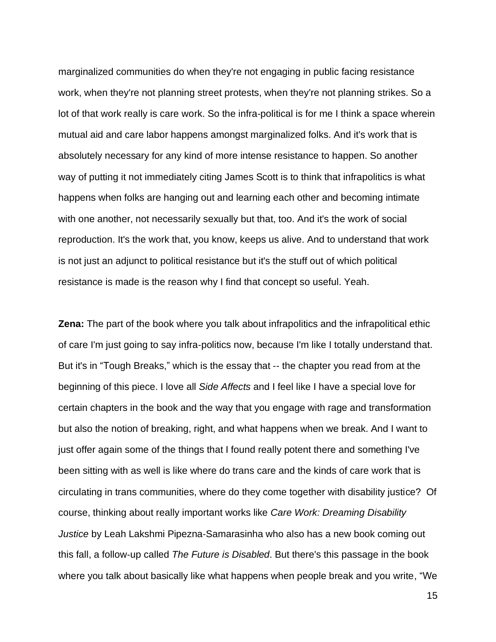marginalized communities do when they're not engaging in public facing resistance work, when they're not planning street protests, when they're not planning strikes. So a lot of that work really is care work. So the infra‑political is for me I think a space wherein mutual aid and care labor happens amongst marginalized folks. And it's work that is absolutely necessary for any kind of more intense resistance to happen. So another way of putting it not immediately citing James Scott is to think that infrapolitics is what happens when folks are hanging out and learning each other and becoming intimate with one another, not necessarily sexually but that, too. And it's the work of social reproduction. It's the work that, you know, keeps us alive. And to understand that work is not just an adjunct to political resistance but it's the stuff out of which political resistance is made is the reason why I find that concept so useful. Yeah.

**Zena:** The part of the book where you talk about infrapolitics and the infrapolitical ethic of care I'm just going to say infra‑politics now, because I'm like I totally understand that. But it's in "Tough Breaks," which is the essay that -- the chapter you read from at the beginning of this piece. I love all *Side Affects* and I feel like I have a special love for certain chapters in the book and the way that you engage with rage and transformation but also the notion of breaking, right, and what happens when we break. And I want to just offer again some of the things that I found really potent there and something I've been sitting with as well is like where do trans care and the kinds of care work that is circulating in trans communities, where do they come together with disability justice? Of course, thinking about really important works like *Care Work: Dreaming Disability Justice* by Leah Lakshmi Pipezna‑Samarasinha who also has a new book coming out this fall, a follow‑up called *The Future is Disabled*. But there's this passage in the book where you talk about basically like what happens when people break and you write, "We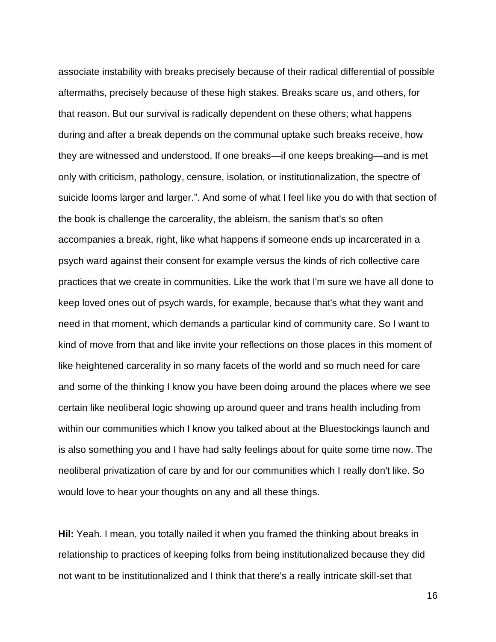associate instability with breaks precisely because of their radical differential of possible aftermaths, precisely because of these high stakes. Breaks scare us, and others, for that reason. But our survival is radically dependent on these others; what happens during and after a break depends on the communal uptake such breaks receive, how they are witnessed and understood. If one breaks—if one keeps breaking—and is met only with criticism, pathology, censure, isolation, or institutionalization, the spectre of suicide looms larger and larger.". And some of what I feel like you do with that section of the book is challenge the carcerality, the ableism, the sanism that's so often accompanies a break, right, like what happens if someone ends up incarcerated in a psych ward against their consent for example versus the kinds of rich collective care practices that we create in communities. Like the work that I'm sure we have all done to keep loved ones out of psych wards, for example, because that's what they want and need in that moment, which demands a particular kind of community care. So I want to kind of move from that and like invite your reflections on those places in this moment of like heightened carcerality in so many facets of the world and so much need for care and some of the thinking I know you have been doing around the places where we see certain like neoliberal logic showing up around queer and trans health including from within our communities which I know you talked about at the Bluestockings launch and is also something you and I have had salty feelings about for quite some time now. The neoliberal privatization of care by and for our communities which I really don't like. So would love to hear your thoughts on any and all these things.

**Hil:** Yeah. I mean, you totally nailed it when you framed the thinking about breaks in relationship to practices of keeping folks from being institutionalized because they did not want to be institutionalized and I think that there's a really intricate skill‑set that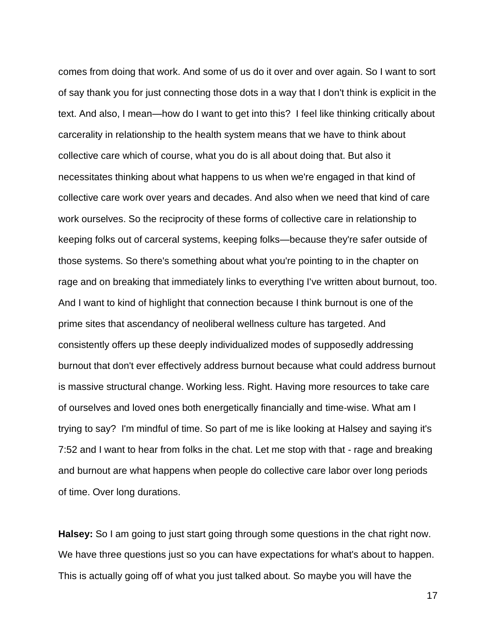comes from doing that work. And some of us do it over and over again. So I want to sort of say thank you for just connecting those dots in a way that I don't think is explicit in the text. And also, I mean—how do I want to get into this? I feel like thinking critically about carcerality in relationship to the health system means that we have to think about collective care which of course, what you do is all about doing that. But also it necessitates thinking about what happens to us when we're engaged in that kind of collective care work over years and decades. And also when we need that kind of care work ourselves. So the reciprocity of these forms of collective care in relationship to keeping folks out of carceral systems, keeping folks—because they're safer outside of those systems. So there's something about what you're pointing to in the chapter on rage and on breaking that immediately links to everything I've written about burnout, too. And I want to kind of highlight that connection because I think burnout is one of the prime sites that ascendancy of neoliberal wellness culture has targeted. And consistently offers up these deeply individualized modes of supposedly addressing burnout that don't ever effectively address burnout because what could address burnout is massive structural change. Working less. Right. Having more resources to take care of ourselves and loved ones both energetically financially and time‑wise. What am I trying to say? I'm mindful of time. So part of me is like looking at Halsey and saying it's 7:52 and I want to hear from folks in the chat. Let me stop with that - rage and breaking and burnout are what happens when people do collective care labor over long periods of time. Over long durations.

**Halsey:** So I am going to just start going through some questions in the chat right now. We have three questions just so you can have expectations for what's about to happen. This is actually going off of what you just talked about. So maybe you will have the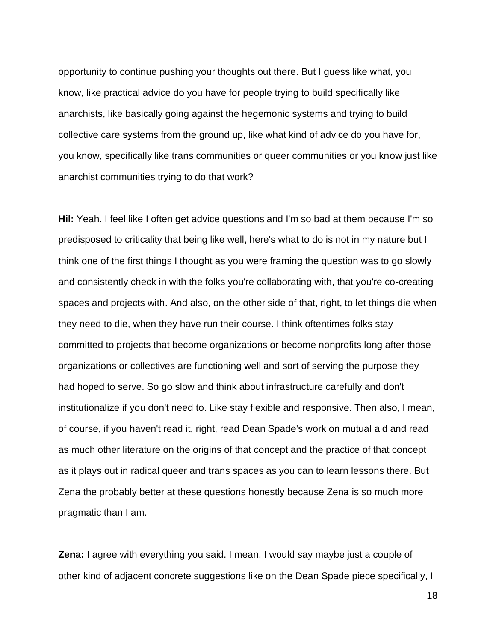opportunity to continue pushing your thoughts out there. But I guess like what, you know, like practical advice do you have for people trying to build specifically like anarchists, like basically going against the hegemonic systems and trying to build collective care systems from the ground up, like what kind of advice do you have for, you know, specifically like trans communities or queer communities or you know just like anarchist communities trying to do that work?

**Hil:** Yeah. I feel like I often get advice questions and I'm so bad at them because I'm so predisposed to criticality that being like well, here's what to do is not in my nature but I think one of the first things I thought as you were framing the question was to go slowly and consistently check in with the folks you're collaborating with, that you're co-creating spaces and projects with. And also, on the other side of that, right, to let things die when they need to die, when they have run their course. I think oftentimes folks stay committed to projects that become organizations or become nonprofits long after those organizations or collectives are functioning well and sort of serving the purpose they had hoped to serve. So go slow and think about infrastructure carefully and don't institutionalize if you don't need to. Like stay flexible and responsive. Then also, I mean, of course, if you haven't read it, right, read Dean Spade's work on mutual aid and read as much other literature on the origins of that concept and the practice of that concept as it plays out in radical queer and trans spaces as you can to learn lessons there. But Zena the probably better at these questions honestly because Zena is so much more pragmatic than I am.

**Zena:** I agree with everything you said. I mean, I would say maybe just a couple of other kind of adjacent concrete suggestions like on the Dean Spade piece specifically, I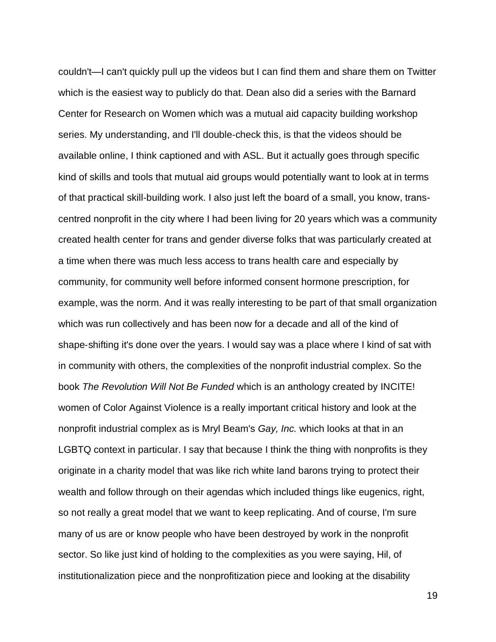couldn't—I can't quickly pull up the videos but I can find them and share them on Twitter which is the easiest way to publicly do that. Dean also did a series with the Barnard Center for Research on Women which was a mutual aid capacity building workshop series. My understanding, and I'll double‑check this, is that the videos should be available online, I think captioned and with ASL. But it actually goes through specific kind of skills and tools that mutual aid groups would potentially want to look at in terms of that practical skill-building work. I also just left the board of a small, you know, transcentred nonprofit in the city where I had been living for 20 years which was a community created health center for trans and gender diverse folks that was particularly created at a time when there was much less access to trans health care and especially by community, for community well before informed consent hormone prescription, for example, was the norm. And it was really interesting to be part of that small organization which was run collectively and has been now for a decade and all of the kind of shape-shifting it's done over the years. I would say was a place where I kind of sat with in community with others, the complexities of the nonprofit industrial complex. So the book *The Revolution Will Not Be Funded* which is an anthology created by INCITE! women of Color Against Violence is a really important critical history and look at the nonprofit industrial complex as is Mryl Beam's *Gay, Inc.* which looks at that in an LGBTQ context in particular. I say that because I think the thing with nonprofits is they originate in a charity model that was like rich white land barons trying to protect their wealth and follow through on their agendas which included things like eugenics, right, so not really a great model that we want to keep replicating. And of course, I'm sure many of us are or know people who have been destroyed by work in the nonprofit sector. So like just kind of holding to the complexities as you were saying, Hil, of institutionalization piece and the nonprofitization piece and looking at the disability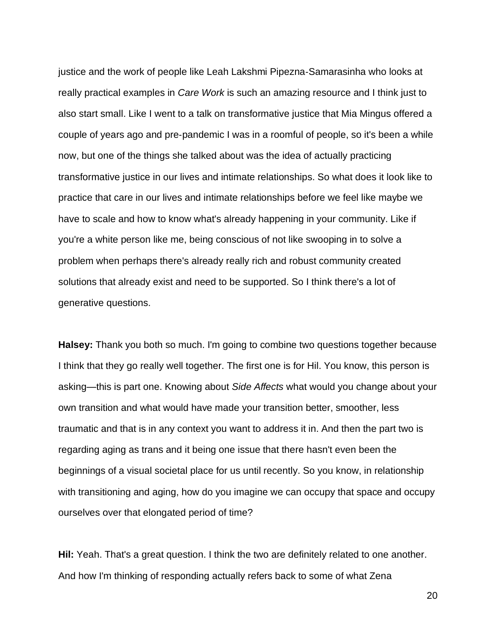justice and the work of people like Leah Lakshmi Pipezna‑Samarasinha who looks at really practical examples in *Care Work* is such an amazing resource and I think just to also start small. Like I went to a talk on transformative justice that Mia Mingus offered a couple of years ago and pre‑pandemic I was in a roomful of people, so it's been a while now, but one of the things she talked about was the idea of actually practicing transformative justice in our lives and intimate relationships. So what does it look like to practice that care in our lives and intimate relationships before we feel like maybe we have to scale and how to know what's already happening in your community. Like if you're a white person like me, being conscious of not like swooping in to solve a problem when perhaps there's already really rich and robust community created solutions that already exist and need to be supported. So I think there's a lot of generative questions.

**Halsey:** Thank you both so much. I'm going to combine two questions together because I think that they go really well together. The first one is for Hil. You know, this person is asking—this is part one. Knowing about *Side Affects* what would you change about your own transition and what would have made your transition better, smoother, less traumatic and that is in any context you want to address it in. And then the part two is regarding aging as trans and it being one issue that there hasn't even been the beginnings of a visual societal place for us until recently. So you know, in relationship with transitioning and aging, how do you imagine we can occupy that space and occupy ourselves over that elongated period of time?

**Hil:** Yeah. That's a great question. I think the two are definitely related to one another. And how I'm thinking of responding actually refers back to some of what Zena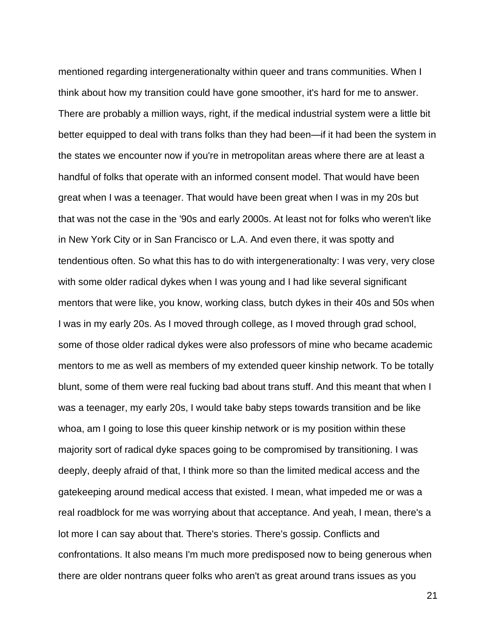mentioned regarding intergenerationalty within queer and trans communities. When I think about how my transition could have gone smoother, it's hard for me to answer. There are probably a million ways, right, if the medical industrial system were a little bit better equipped to deal with trans folks than they had been—if it had been the system in the states we encounter now if you're in metropolitan areas where there are at least a handful of folks that operate with an informed consent model. That would have been great when I was a teenager. That would have been great when I was in my 20s but that was not the case in the '90s and early 2000s. At least not for folks who weren't like in New York City or in San Francisco or L.A. And even there, it was spotty and tendentious often. So what this has to do with intergenerationalty: I was very, very close with some older radical dykes when I was young and I had like several significant mentors that were like, you know, working class, butch dykes in their 40s and 50s when I was in my early 20s. As I moved through college, as I moved through grad school, some of those older radical dykes were also professors of mine who became academic mentors to me as well as members of my extended queer kinship network. To be totally blunt, some of them were real fucking bad about trans stuff. And this meant that when I was a teenager, my early 20s, I would take baby steps towards transition and be like whoa, am I going to lose this queer kinship network or is my position within these majority sort of radical dyke spaces going to be compromised by transitioning. I was deeply, deeply afraid of that, I think more so than the limited medical access and the gatekeeping around medical access that existed. I mean, what impeded me or was a real roadblock for me was worrying about that acceptance. And yeah, I mean, there's a lot more I can say about that. There's stories. There's gossip. Conflicts and confrontations. It also means I'm much more predisposed now to being generous when there are older nontrans queer folks who aren't as great around trans issues as you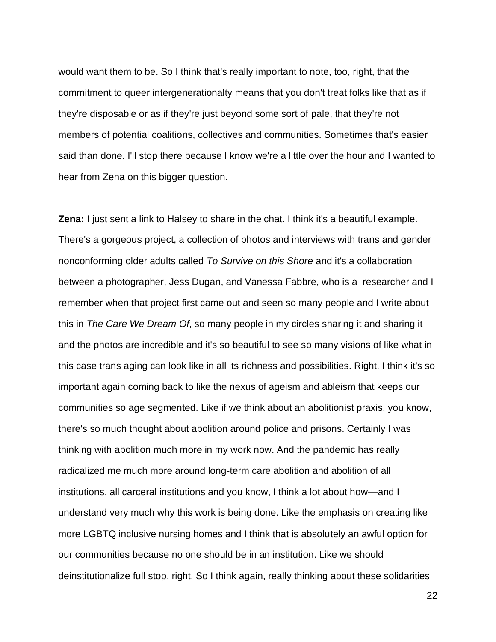would want them to be. So I think that's really important to note, too, right, that the commitment to queer intergenerationalty means that you don't treat folks like that as if they're disposable or as if they're just beyond some sort of pale, that they're not members of potential coalitions, collectives and communities. Sometimes that's easier said than done. I'll stop there because I know we're a little over the hour and I wanted to hear from Zena on this bigger question.

**Zena:** I just sent a link to Halsey to share in the chat. I think it's a beautiful example. There's a gorgeous project, a collection of photos and interviews with trans and gender nonconforming older adults called *To Survive on this Shore* and it's a collaboration between a photographer, Jess Dugan, and Vanessa Fabbre, who is a researcher and I remember when that project first came out and seen so many people and I write about this in *The Care We Dream Of*, so many people in my circles sharing it and sharing it and the photos are incredible and it's so beautiful to see so many visions of like what in this case trans aging can look like in all its richness and possibilities. Right. I think it's so important again coming back to like the nexus of ageism and ableism that keeps our communities so age segmented. Like if we think about an abolitionist praxis, you know, there's so much thought about abolition around police and prisons. Certainly I was thinking with abolition much more in my work now. And the pandemic has really radicalized me much more around long-term care abolition and abolition of all institutions, all carceral institutions and you know, I think a lot about how—and I understand very much why this work is being done. Like the emphasis on creating like more LGBTQ inclusive nursing homes and I think that is absolutely an awful option for our communities because no one should be in an institution. Like we should deinstitutionalize full stop, right. So I think again, really thinking about these solidarities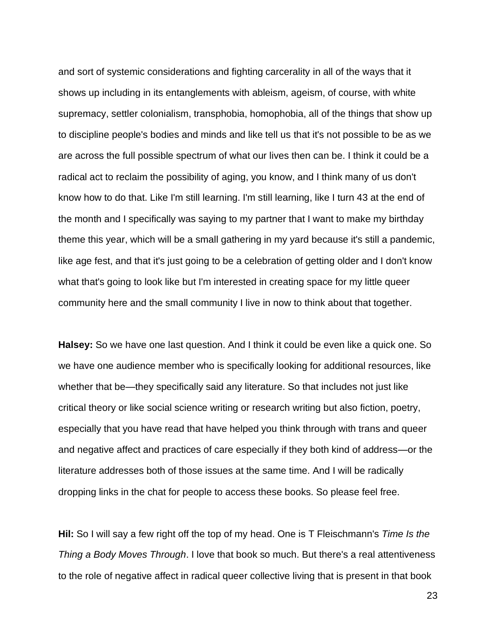and sort of systemic considerations and fighting carcerality in all of the ways that it shows up including in its entanglements with ableism, ageism, of course, with white supremacy, settler colonialism, transphobia, homophobia, all of the things that show up to discipline people's bodies and minds and like tell us that it's not possible to be as we are across the full possible spectrum of what our lives then can be. I think it could be a radical act to reclaim the possibility of aging, you know, and I think many of us don't know how to do that. Like I'm still learning. I'm still learning, like I turn 43 at the end of the month and I specifically was saying to my partner that I want to make my birthday theme this year, which will be a small gathering in my yard because it's still a pandemic, like age fest, and that it's just going to be a celebration of getting older and I don't know what that's going to look like but I'm interested in creating space for my little queer community here and the small community I live in now to think about that together.

**Halsey:** So we have one last question. And I think it could be even like a quick one. So we have one audience member who is specifically looking for additional resources, like whether that be—they specifically said any literature. So that includes not just like critical theory or like social science writing or research writing but also fiction, poetry, especially that you have read that have helped you think through with trans and queer and negative affect and practices of care especially if they both kind of address—or the literature addresses both of those issues at the same time. And I will be radically dropping links in the chat for people to access these books. So please feel free.

**Hil:** So I will say a few right off the top of my head. One is T Fleischmann's *Time Is the Thing a Body Moves Through*. I love that book so much. But there's a real attentiveness to the role of negative affect in radical queer collective living that is present in that book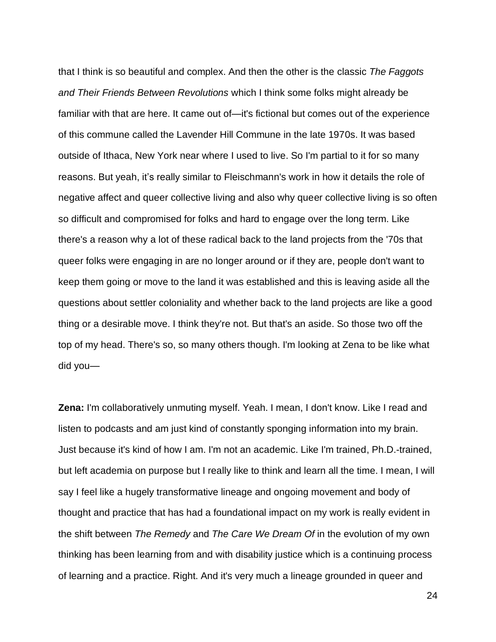that I think is so beautiful and complex. And then the other is the classic *The Faggots and Their Friends Between Revolutions* which I think some folks might already be familiar with that are here. It came out of—it's fictional but comes out of the experience of this commune called the Lavender Hill Commune in the late 1970s. It was based outside of Ithaca, New York near where I used to live. So I'm partial to it for so many reasons. But yeah, it's really similar to Fleischmann's work in how it details the role of negative affect and queer collective living and also why queer collective living is so often so difficult and compromised for folks and hard to engage over the long term. Like there's a reason why a lot of these radical back to the land projects from the '70s that queer folks were engaging in are no longer around or if they are, people don't want to keep them going or move to the land it was established and this is leaving aside all the questions about settler coloniality and whether back to the land projects are like a good thing or a desirable move. I think they're not. But that's an aside. So those two off the top of my head. There's so, so many others though. I'm looking at Zena to be like what did you—

**Zena:** I'm collaboratively unmuting myself. Yeah. I mean, I don't know. Like I read and listen to podcasts and am just kind of constantly sponging information into my brain. Just because it's kind of how I am. I'm not an academic. Like I'm trained, Ph.D.-trained, but left academia on purpose but I really like to think and learn all the time. I mean, I will say I feel like a hugely transformative lineage and ongoing movement and body of thought and practice that has had a foundational impact on my work is really evident in the shift between *The Remedy* and *The Care We Dream Of* in the evolution of my own thinking has been learning from and with disability justice which is a continuing process of learning and a practice. Right. And it's very much a lineage grounded in queer and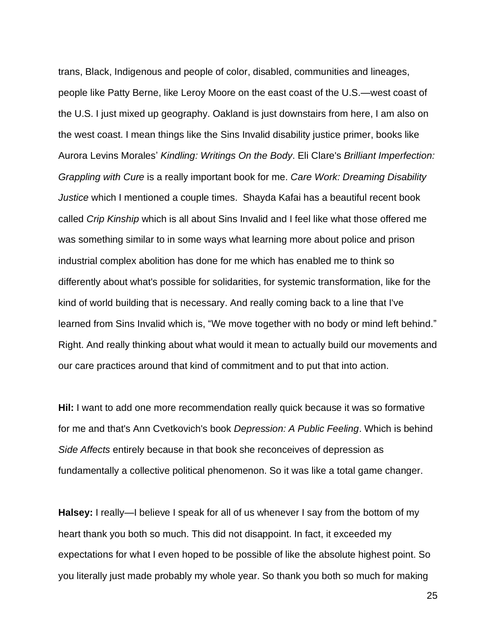trans, Black, Indigenous and people of color, disabled, communities and lineages, people like Patty Berne, like Leroy Moore on the east coast of the U.S.—west coast of the U.S. I just mixed up geography. Oakland is just downstairs from here, I am also on the west coast. I mean things like the Sins Invalid disability justice primer, books like Aurora Levins Morales' *Kindling: Writings On the Body*. Eli Clare's *Brilliant Imperfection: Grappling with Cure* is a really important book for me. *Care Work: Dreaming Disability Justice* which I mentioned a couple times. Shayda Kafai has a beautiful recent book called *Crip Kinship* which is all about Sins Invalid and I feel like what those offered me was something similar to in some ways what learning more about police and prison industrial complex abolition has done for me which has enabled me to think so differently about what's possible for solidarities, for systemic transformation, like for the kind of world building that is necessary. And really coming back to a line that I've learned from Sins Invalid which is, "We move together with no body or mind left behind." Right. And really thinking about what would it mean to actually build our movements and our care practices around that kind of commitment and to put that into action.

**Hil:** I want to add one more recommendation really quick because it was so formative for me and that's Ann Cvetkovich's book *Depression: A Public Feeling*. Which is behind *Side Affects* entirely because in that book she reconceives of depression as fundamentally a collective political phenomenon. So it was like a total game changer.

**Halsey:** I really—I believe I speak for all of us whenever I say from the bottom of my heart thank you both so much. This did not disappoint. In fact, it exceeded my expectations for what I even hoped to be possible of like the absolute highest point. So you literally just made probably my whole year. So thank you both so much for making